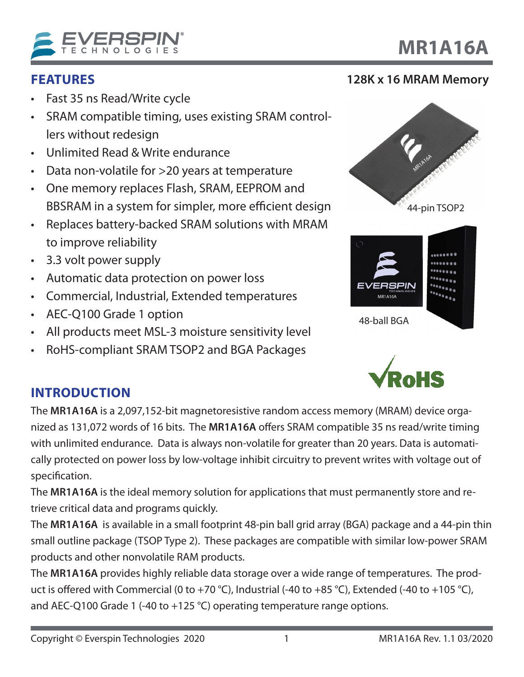

## **FEATURES**

- Fast 35 ns Read/Write cycle
- SRAM compatible timing, uses existing SRAM controllers without redesign
- Unlimited Read & Write endurance
- Data non-volatile for >20 years at temperature
- One memory replaces Flash, SRAM, EEPROM and BBSRAM in a system for simpler, more efficient design
- Replaces battery-backed SRAM solutions with MRAM to improve reliability
- 3.3 volt power supply
- Automatic data protection on power loss
- Commercial, Industrial, Extended temperatures
- AEC-Q100 Grade 1 option
- All products meet MSL-3 moisture sensitivity level
- RoHS-compliant SRAM TSOP2 and BGA Packages





48-ball BGA

## **INTRODUCTION**

The **MR1A16A** is a 2,097,152-bit magnetoresistive random access memory (MRAM) device organized as 131,072 words of 16 bits. The **MR1A16A** offers SRAM compatible 35 ns read/write timing with unlimited endurance. Data is always non-volatile for greater than 20 years. Data is automatically protected on power loss by low-voltage inhibit circuitry to prevent writes with voltage out of specification.

The **MR1A16A** is the ideal memory solution for applications that must permanently store and retrieve critical data and programs quickly.

The **MR1A16A** is available in a small footprint 48-pin ball grid array (BGA) package and a 44-pin thin small outline package (TSOP Type 2). These packages are compatible with similar low-power SRAM products and other nonvolatile RAM products.

The **MR1A16A** provides highly reliable data storage over a wide range of temperatures. The product is offered with Commercial (0 to +70 °C), Industrial (-40 to +85 °C), Extended (-40 to +105 °C), and AEC-Q100 Grade 1 (-40 to +125 °C) operating temperature range options.

**MR1A16A**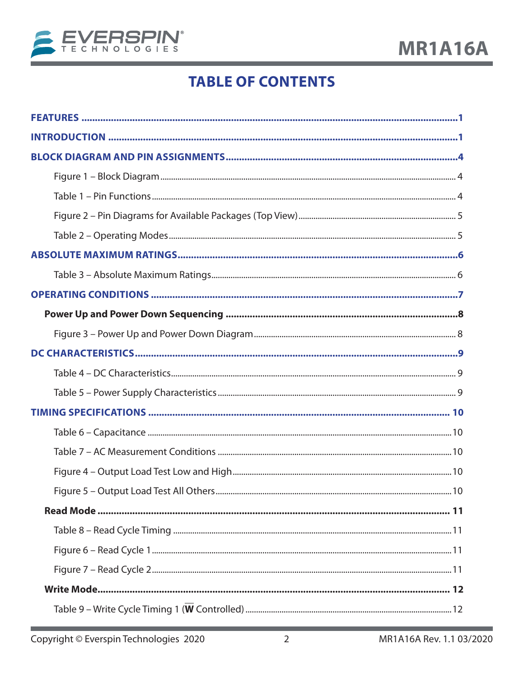

# **TABLE OF CONTENTS**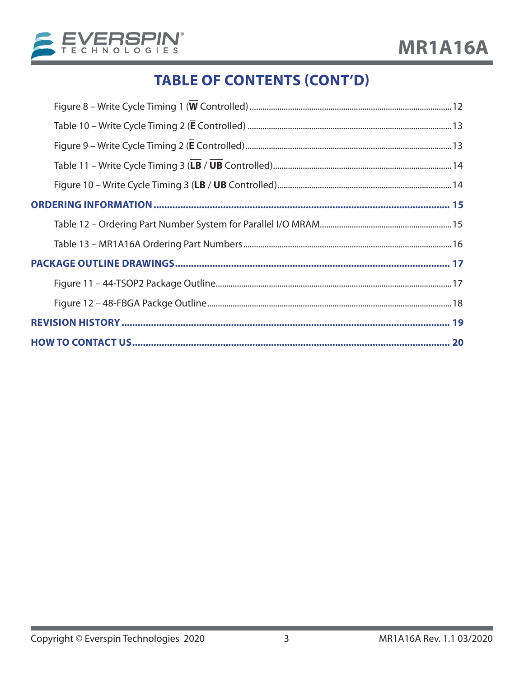

# **TABLE OF CONTENTS (CONT'D)**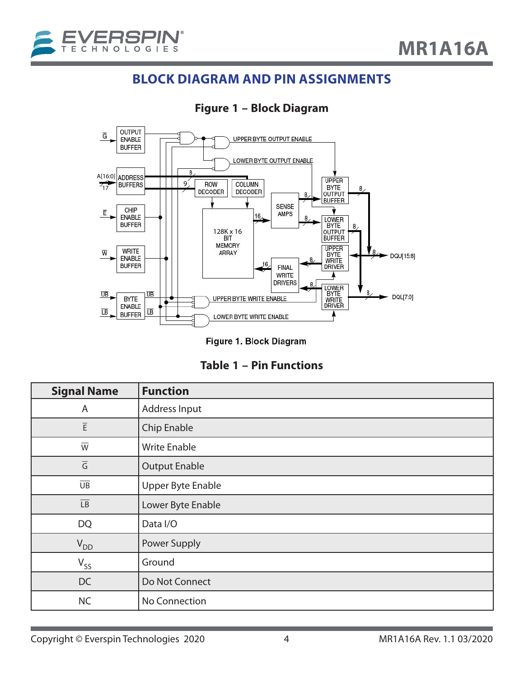## **BLOCK DIAGRAM AND PIN ASSIGNMENTS**



### **Figure 1 – Block Diagram**

Figure 1. Block Diagram

|  | Table 1 - Pin Functions |
|--|-------------------------|
|--|-------------------------|

| <b>Signal Name</b>       | <b>Function</b>          |
|--------------------------|--------------------------|
| A                        | Address Input            |
| $\overline{\mathsf{E}}$  | Chip Enable              |
| $\overline{W}$           | <b>Write Enable</b>      |
| $\overline{\mathsf{G}}$  | <b>Output Enable</b>     |
| $\overline{\mathsf{UB}}$ | <b>Upper Byte Enable</b> |
| $\overline{\mathsf{LB}}$ | Lower Byte Enable        |
| <b>DQ</b>                | Data I/O                 |
| $V_{DD}$                 | Power Supply             |
| $V_{SS}$                 | Ground                   |
| DC                       | Do Not Connect           |
| <b>NC</b>                | No Connection            |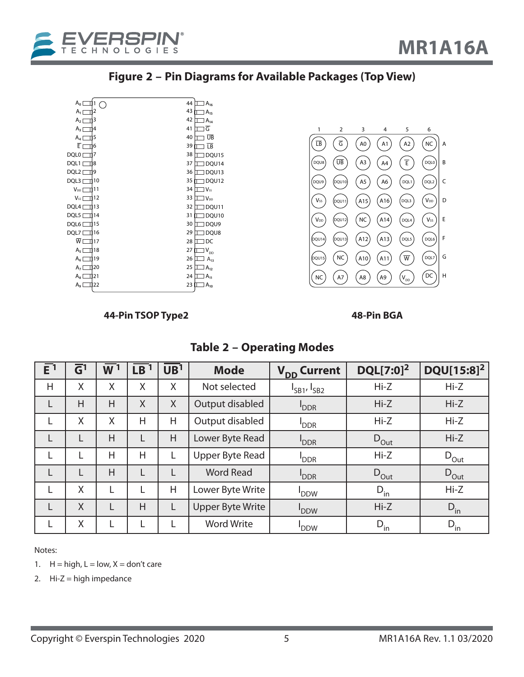



| $A_0$ [                      | 1<br>C | 44 | $A_{16}$                   |
|------------------------------|--------|----|----------------------------|
| $A_1 \Box$                   | 2      | 43 | $A_{15}$                   |
| $A_2$ [                      | 3      | 42 | $A_{14}$                   |
| $A_3$ [                      | 4      | 41 | G                          |
| $A_4$ [                      | 5      | 40 | ŪΒ                         |
| $\overline{E}$ [             | 6      | 39 | $\overline{LB}$            |
| DQL0[                        | 7      | 38 | DQU15                      |
| DQL1[                        | 8      | 37 | DQU14                      |
| DQL2 [                       | 19     | 36 | DQU13                      |
| DQL3 [                       | 10     | 35 | DQU12                      |
| V <sub>DD</sub> <sub>[</sub> | 11     | 34 | $1V$ ss                    |
| $V_{ss}$                     | 12     | 33 | $V_{DD}$                   |
| DQL4 [                       | 13     | 32 | ] DQU11                    |
| DQL5 [                       | 14     | 31 | DQU10                      |
| DQL6 <sup>[</sup>            | 15     | 30 | DQU9                       |
| DQL7                         | 16     | 29 | DQU8                       |
| ŴΓ<br>н.                     | 17     | 28 | ]DC                        |
| $A_5$ [                      | 18     | 27 | $\mathsf{V}_{\mathsf{DD}}$ |
| $A_6$ [                      | 19     | 26 | $A_{13}$                   |
| $A_{7}$ [                    | 20     | 25 | $A_{12}$                   |
| $A_8$ [                      | IJ 21  | 24 | $A_{11}$                   |
| ا وA                         | 22     | 23 | $A_{10}$                   |



#### **44-Pin TSOP Type2 48-Pin BGA**

#### **Table 2 – Operating Modes**

| $\overline{E}$ <sup>1</sup> | $\overline{\mathsf{G}}^1$ | $\mathsf{W}\,{}^1$ | LB | $\overline{UB}$ <sup>1</sup> | <b>Mode</b>             | V <sub>DD</sub> Current | DQL[7:0] <sup>2</sup> | DQU[15:8] <sup>2</sup> |
|-----------------------------|---------------------------|--------------------|----|------------------------------|-------------------------|-------------------------|-----------------------|------------------------|
| H                           | X                         | X                  | X  | X                            | Not selected            | $I_{SB1'}I_{SB2}$       | $Hi-Z$                | $Hi-Z$                 |
| L                           | H                         | H                  | X  | X                            | Output disabled         | <b>PDDR</b>             | $Hi-Z$                | $Hi-Z$                 |
| L                           | X                         | X                  | H  | H                            | Output disabled         | <b>DDR</b>              | $Hi-Z$                | $Hi-Z$                 |
| L                           |                           | H                  |    | H                            | Lower Byte Read         | <b>PDDR</b>             | $D_{Out}$             | $Hi-Z$                 |
| L                           |                           | Η                  | Η  |                              | Upper Byte Read         | <b>DDR</b>              | $Hi-Z$                | $D_{\text{Out}}$       |
| L                           |                           | H                  |    |                              | <b>Word Read</b>        | <b>PDDR</b>             | $D_{\text{Out}}$      | $D_{\text{Out}}$       |
| L                           | X                         | L                  |    | Η                            | Lower Byte Write        | <b>DDW</b>              | $D_{\text{in}}$       | $Hi-Z$                 |
| L                           | $\sf X$                   | L                  | H  | L                            | <b>Upper Byte Write</b> | <b>DDW</b>              | $Hi-Z$                | $D_{in}$               |
| L                           | X                         | L                  |    |                              | <b>Word Write</b>       | <b>DDW</b>              | $D_{in}$              | $D_{in}$               |

Notes:

- 1.  $H = high, L = low, X = don't care$
- 2.  $Hi-Z = high impedance$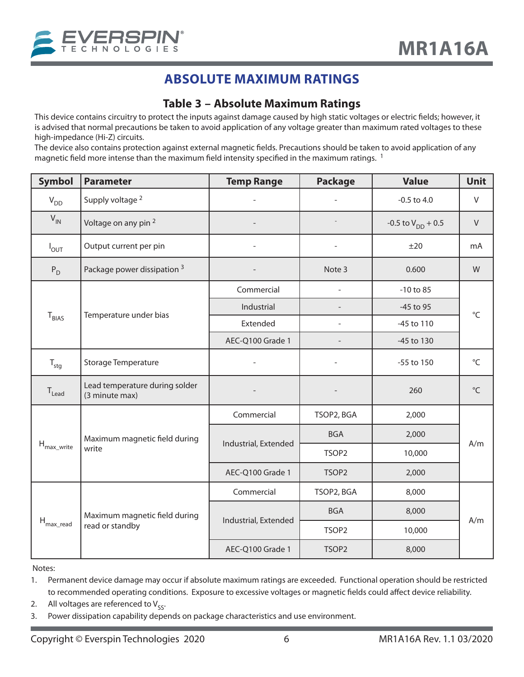

## **ABSOLUTE MAXIMUM RATINGS**

#### **Table 3 – Absolute Maximum Ratings**

This device contains circuitry to protect the inputs against damage caused by high static voltages or electric fields; however, it is advised that normal precautions be taken to avoid application of any voltage greater than maximum rated voltages to these high-impedance (Hi-Z) circuits.

The device also contains protection against external magnetic fields. Precautions should be taken to avoid application of any magnetic field more intense than the maximum field intensity specified in the maximum ratings.  $1$ 

| <b>Symbol</b>           | <b>Parameter</b>                                 | <b>Temp Range</b>    | <b>Package</b>    | <b>Value</b>             | <b>Unit</b>  |  |
|-------------------------|--------------------------------------------------|----------------------|-------------------|--------------------------|--------------|--|
| $V_{DD}$                | Supply voltage <sup>2</sup>                      |                      |                   | $-0.5$ to 4.0            | V            |  |
| $V_{IN}$                | Voltage on any pin <sup>2</sup>                  |                      |                   | $-0.5$ to $V_{DD}$ + 0.5 | $\vee$       |  |
| $I_{OUT}$               | Output current per pin                           |                      |                   | ±20                      | mA           |  |
| $P_D$                   | Package power dissipation <sup>3</sup>           |                      | Note 3            | 0.600                    | W            |  |
|                         |                                                  | Commercial           |                   | $-10$ to $85$            |              |  |
|                         | Temperature under bias                           | Industrial           |                   | -45 to 95                | $^{\circ}$ C |  |
| $T_{BIAS}$              |                                                  | Extended             |                   | -45 to 110               |              |  |
|                         |                                                  | AEC-Q100 Grade 1     |                   | -45 to 130               |              |  |
| $T_{\text{stg}}$        | <b>Storage Temperature</b>                       |                      |                   | -55 to 150               | °C           |  |
| $T_{\text{lead}}$       | Lead temperature during solder<br>(3 minute max) |                      |                   | 260                      | $^{\circ}$ C |  |
|                         | Maximum magnetic field during<br>write           | Commercial           | TSOP2, BGA        | 2,000                    |              |  |
|                         |                                                  |                      | <b>BGA</b>        | 2,000                    |              |  |
| $H_{\text{max\_write}}$ |                                                  | Industrial, Extended | TSOP <sub>2</sub> | 10,000                   | A/m          |  |
|                         |                                                  | AEC-Q100 Grade 1     | TSOP2             | 2,000                    |              |  |
|                         |                                                  | Commercial           | TSOP2, BGA        | 8,000                    |              |  |
|                         | Maximum magnetic field during                    | Industrial, Extended | <b>BGA</b>        | 8,000                    |              |  |
| $H_{\text{max\_read}}$  | read or standby                                  |                      | TSOP2             | 10,000                   | A/m          |  |
|                         |                                                  | AEC-Q100 Grade 1     | TSOP <sub>2</sub> | 8,000                    |              |  |

Notes:

1. Permanent device damage may occur if absolute maximum ratings are exceeded. Functional operation should be restricted to recommended operating conditions. Exposure to excessive voltages or magnetic fields could affect device reliability.

2. All voltages are referenced to  $V_{SS}$ .<br>3. Power dissipation capability depe

Power dissipation capability depends on package characteristics and use environment.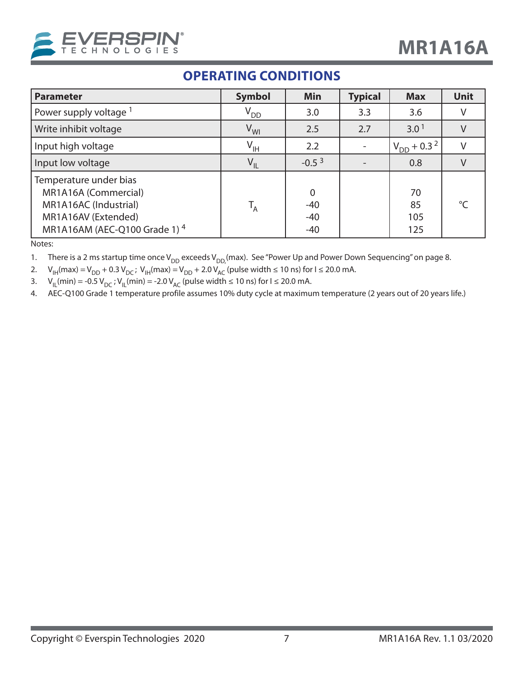

## **OPERATING CONDITIONS**

| <b>Parameter</b>                                                                                                                  | <b>Symbol</b>   | <b>Min</b>                                | <b>Typical</b> | <b>Max</b>                  | <b>Unit</b> |
|-----------------------------------------------------------------------------------------------------------------------------------|-----------------|-------------------------------------------|----------------|-----------------------------|-------------|
| Power supply voltage <sup>1</sup>                                                                                                 | $\rm V_{DD}$    | 3.0                                       | 3.3            | 3.6                         | V           |
| Write inhibit voltage                                                                                                             | $V_{WI}$        | 2.5                                       | 2.7            | 3.0 <sup>1</sup>            |             |
| Input high voltage                                                                                                                | $V_{\text{IH}}$ | 2.2                                       |                | $V_{DD}$ + 0.3 <sup>2</sup> |             |
| Input low voltage                                                                                                                 | $V_{IL}$        | $-0.53$                                   |                | 0.8                         |             |
| Temperature under bias<br>MR1A16A (Commercial)<br>MR1A16AC (Industrial)<br>MR1A16AV (Extended)<br>MR1A16AM (AEC-Q100 Grade 1) $4$ | $T_A$           | $\overline{0}$<br>$-40$<br>$-40$<br>$-40$ |                | 70<br>85<br>105<br>125      | $\circ$     |

Notes:

1. There is a 2 ms startup time once V<sub>DD</sub> exceeds V<sub>DD</sub> (max). See "Power Up and Power Down Sequencing" on page 8.

2.  $V_{IH}$ (max) =  $V_{DD}$  + 0.3  $V_{DC}$ ;  $V_{IH}$ (max) =  $V_{DD}$  + 2.0  $V_{AC}$  (pulse width ≤ 10 ns) for I ≤ 20.0 mA.

3. V<sub>IL</sub>(min) = -0.5 V<sub>DC</sub> ; V<sub>IL</sub>(min) = -2.0 V<sub>AC</sub> (pulse width ≤ 10 ns) for I ≤ 20.0 mA.

4. AEC-Q100 Grade 1 temperature profile assumes 10% duty cycle at maximum temperature (2 years out of 20 years life.)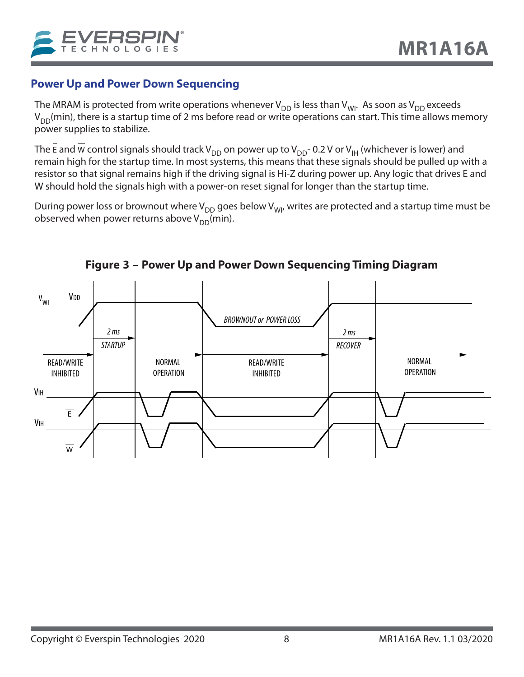## **Power Up and Power Down Sequencing**

The MRAM is protected from write operations whenever  $V_{DD}$  is less than  $V_{WI}$ . As soon as  $V_{DD}$  exceeds  $V_{DD}(min)$ , there is a startup time of 2 ms before read or write operations can start. This time allows memory power supplies to stabilize.

The E and W control signals should track V<sub>DD</sub> on power up to V<sub>DD</sub>-0.2 V or V<sub>IH</sub> (whichever is lower) and remain high for the startup time. In most systems, this means that these signals should be pulled up with a resistor so that signal remains high if the driving signal is Hi-Z during power up. Any logic that drives E and W should hold the signals high with a power-on reset signal for longer than the startup time.

During power loss or brownout where  $V_{DD}$  goes below  $V_{W1}$ , writes are protected and a startup time must be observed when power returns above  $V_{DD}(min)$ .



**Figure 3 – Power Up and Power Down Sequencing Timing Diagram**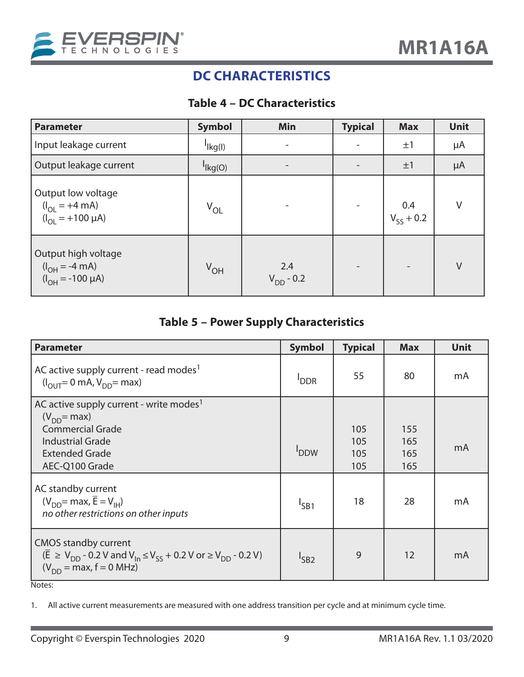

## **DC CHARACTERISTICS**

#### **Table 4 – DC Characteristics**

| <b>Parameter</b>                                                                          | <b>Symbol</b>              | Min                   | <b>Typical</b> | <b>Max</b>            | Unit    |
|-------------------------------------------------------------------------------------------|----------------------------|-----------------------|----------------|-----------------------|---------|
| Input leakage current                                                                     | $\frac{I}{I}$ kg(l)        | -                     |                | ±1                    | μA      |
| Output leakage current                                                                    | $\vert$ <sub>lkg</sub> (O) |                       |                | ±1                    | $\mu$ A |
| Output low voltage<br>$(I_{OL} = +4 \text{ mA})$<br>$(I_{OL} = +100 \text{ }\mu\text{A})$ | $V_{OL}$                   |                       |                | 0.4<br>$V_{SS}$ + 0.2 | V       |
| Output high voltage<br>( $I_{OH} = -4$ mA)<br>( $I_{OH} = -100$ µA)                       | V <sub>OH</sub>            | 2.4<br>$V_{DD} - 0.2$ |                |                       | V       |

## **Table 5 – Power Supply Characteristics**

| <b>Parameter</b>                                                                                                                                                                    | <b>Symbol</b> | <b>Typical</b>           | <b>Max</b>               | Unit |
|-------------------------------------------------------------------------------------------------------------------------------------------------------------------------------------|---------------|--------------------------|--------------------------|------|
| AC active supply current - read modes <sup>1</sup><br>$(I_{\text{OUT}} = 0 \text{ mA}, V_{\text{DD}} = \text{max})$                                                                 | <b>DDR</b>    | 55                       | 80                       | mA   |
| AC active supply current - write modes <sup>1</sup><br>$(V_{DD}$ = max)<br><b>Commercial Grade</b><br><b>Industrial Grade</b><br><b>Extended Grade</b><br>AEC-Q100 Grade            | <b>PDDW</b>   | 105<br>105<br>105<br>105 | 155<br>165<br>165<br>165 | mA   |
| AC standby current<br>$(V_{DD}$ = max, $\overline{E} = V_{IH}$<br>no other restrictions on other inputs                                                                             | $I_{SB1}$     | 18                       | 28                       | mA   |
| <b>CMOS standby current</b><br>$(\overline{E}$ ≥ V <sub>DD</sub> - 0.2 V and V <sub>In</sub> ≤ V <sub>SS</sub> + 0.2 V or ≥ V <sub>DD</sub> - 0.2 V)<br>$(V_{DD} = max, f = 0 MHz)$ | $I_{SB2}$     | 9                        | 12                       | mA   |

Notes:

1. All active current measurements are measured with one address transition per cycle and at minimum cycle time.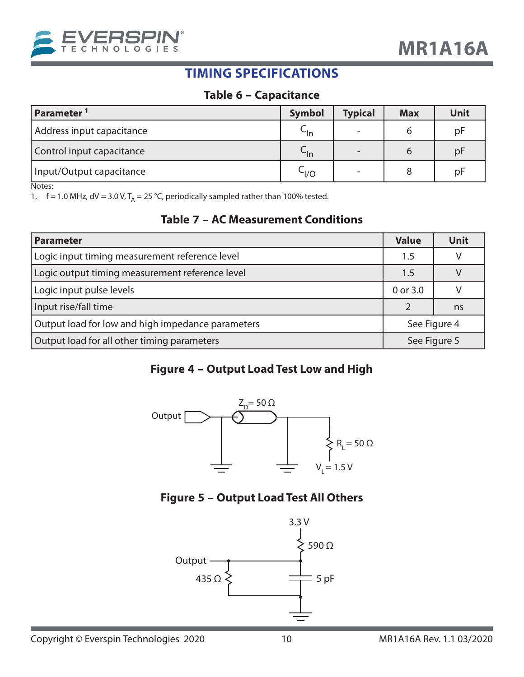

## **TIMING SPECIFICATIONS**

#### **Table 6 – Capacitance**

| Parameter <sup>1</sup>    | <b>Symbol</b> | <b>Typical</b>           | <b>Max</b> | Unit |
|---------------------------|---------------|--------------------------|------------|------|
| Address input capacitance | $-$ In        | $\overline{\phantom{0}}$ |            | pF   |
| Control input capacitance | ∽ln           | $\overline{\phantom{0}}$ |            | pF   |
| Input/Output capacitance  | ר∣\⊂          | $\overline{\phantom{a}}$ | 8          | pF   |

Notes:

1.  $f = 1.0$  MHz,  $dV = 3.0$  V,  $T_A = 25$  °C, periodically sampled rather than 100% tested.

#### **Table 7 – AC Measurement Conditions**

| <b>Parameter</b>                                  | <b>Value</b> | Unit         |
|---------------------------------------------------|--------------|--------------|
| Logic input timing measurement reference level    | 1.5          |              |
| Logic output timing measurement reference level   | $1.5\,$      |              |
| Logic input pulse levels                          | 0 or 3.0     |              |
| Input rise/fall time                              |              | ns           |
| Output load for low and high impedance parameters |              | See Figure 4 |
| Output load for all other timing parameters       | See Figure 5 |              |

#### **Figure 4 – Output Load Test Low and High**



#### **Figure 5 – Output Load Test All Others**

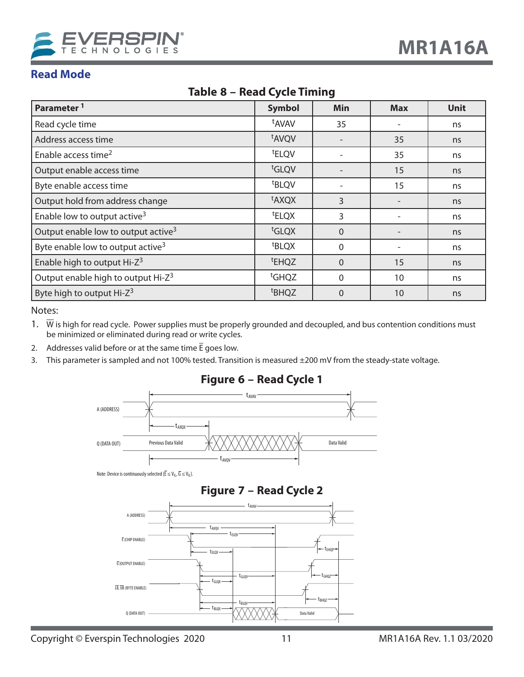

### **Read Mode**

| Parameter <sup>1</sup>                          | <b>Symbol</b>     | Min            | <b>Max</b> | Unit |
|-------------------------------------------------|-------------------|----------------|------------|------|
| Read cycle time                                 | <sup>t</sup> AVAV | 35             |            | ns   |
| Address access time                             | <sup>t</sup> AVQV |                | 35         | ns   |
| Enable access time <sup>2</sup>                 | <sup>t</sup> ELQV |                | 35         | ns   |
| Output enable access time                       | tGLQV             |                | 15         | ns   |
| Byte enable access time                         | <sup>t</sup> BLQV |                | 15         | ns   |
| Output hold from address change                 | <sup>t</sup> AXQX | 3              |            | ns   |
| Enable low to output active <sup>3</sup>        | <sup>t</sup> ELQX | 3              |            | ns   |
| Output enable low to output active <sup>3</sup> | t <sub>GLQX</sub> | $\overline{0}$ |            | ns   |
| Byte enable low to output active <sup>3</sup>   | <sup>t</sup> BLQX | $\mathbf{0}$   |            | ns   |
| Enable high to output Hi-Z <sup>3</sup>         | <sup>t</sup> EHQZ | $\Omega$       | 15         | ns   |
| Output enable high to output Hi-Z <sup>3</sup>  | <sup>t</sup> GHQZ | $\mathbf{0}$   | 10         | ns   |
| Byte high to output Hi-Z <sup>3</sup>           | <sup>t</sup> BHQZ | $\Omega$       | 10         | ns   |

#### **Table 8 – Read Cycle Timing**

Notes:

1.  $\overline{W}$  is high for read cycle. Power supplies must be properly grounded and decoupled, and bus contention conditions must be minimized or eliminated during read or write cycles.

- 2. Addresses valid before or at the same time  $\bar{E}$  goes low.
- 3. This parameter is sampled and not 100% tested. Transition is measured ±200 mV from the steady-state voltage.



#### **Figure 6 – Read Cycle 1**

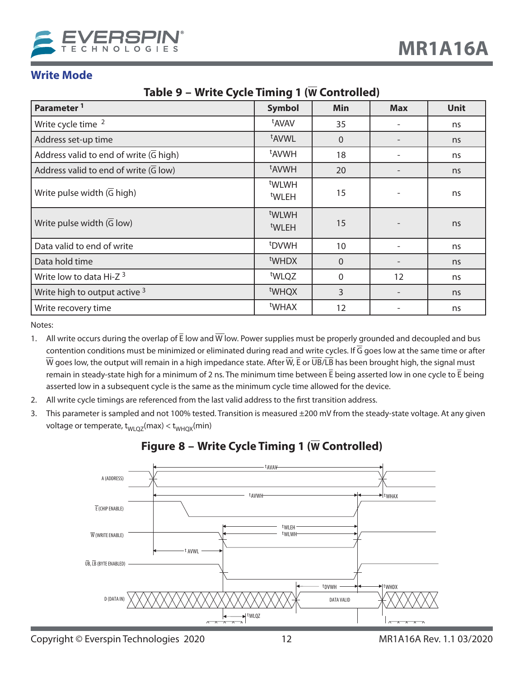

#### **Write Mode**

### **Table 9 – Write Cycle Timing 1 (W Controlled)**

| Parameter <sup>1</sup>                              | <b>Symbol</b>                          | <b>Min</b>     | <b>Max</b> | <b>Unit</b> |
|-----------------------------------------------------|----------------------------------------|----------------|------------|-------------|
| Write cycle time <sup>2</sup>                       | <sup>t</sup> AVAV                      | 35             |            | ns          |
| Address set-up time                                 | <sup>t</sup> AVWL                      | $\overline{0}$ |            | ns          |
| Address valid to end of write $(\overline{G}$ high) | <sup>t</sup> AVWH<br>18                |                |            | ns          |
| Address valid to end of write $(\overline{G}$ low)  | <sup>t</sup> AVWH                      | 20             |            | ns          |
| Write pulse width $(\overline{G}$ high)             | t <sub>WLWH</sub><br><sup>t</sup> WLEH | 15             |            | ns          |
| Write pulse width $(G \text{ low})$                 | t <sub>WLWH</sub><br><sup>t</sup> WLEH | 15             |            | ns          |
| Data valid to end of write                          | <sup>t</sup> DVWH                      | 10             |            | ns          |
| Data hold time                                      | t <sub>WHDX</sub>                      | $\Omega$       |            | ns          |
| Write low to data Hi-Z <sup>3</sup>                 | tWLQZ                                  | $\mathbf{0}$   | 12         | ns          |
| Write high to output active 3                       | <sup>t</sup> WHQX                      | $\overline{3}$ |            | ns          |
| Write recovery time                                 | <sup>t</sup> WHAX                      | 12             |            | ns          |

Notes:

- 1. All write occurs during the overlap of  $\bar{E}$  low and  $\bar{W}$  low. Power supplies must be properly grounded and decoupled and bus contention conditions must be minimized or eliminated during read and write cycles. If  $\overline{G}$  goes low at the same time or after  $\overline{W}$  goes low, the output will remain in a high impedance state. After  $\overline{W}$ , E or  $\overline{UB}/\overline{LB}$  has been brought high, the signal must remain in steady-state high for a minimum of 2 ns. The minimum time between  $\bar{E}$  being asserted low in one cycle to  $\bar{E}$  being asserted low in a subsequent cycle is the same as the minimum cycle time allowed for the device.
- 2. All write cycle timings are referenced from the last valid address to the first transition address.
- 3. This parameter is sampled and not 100% tested. Transition is measured ±200 mV from the steady-state voltage. At any given voltage or temperate,  $t_{WLQZ}(max) < t_{WHQX}(min)$



#### **Figure 8 – Write Cycle Timing 1 (W Controlled)**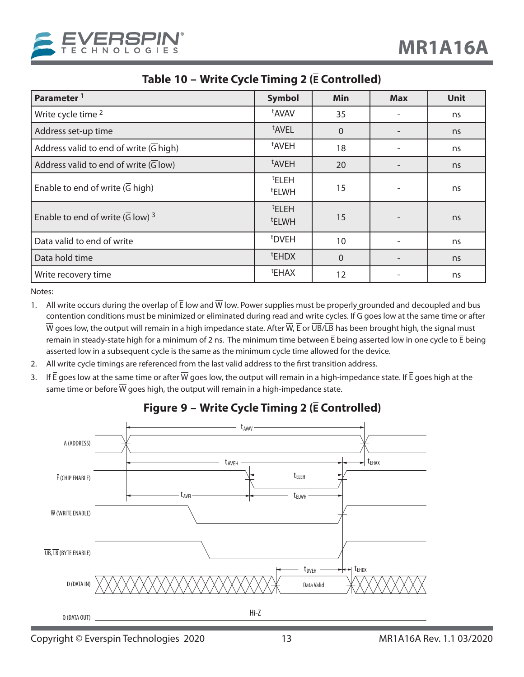

| Parameter <sup>1</sup>                                   | <b>Symbol</b>                          | Min      | <b>Max</b>               | <b>Unit</b> |
|----------------------------------------------------------|----------------------------------------|----------|--------------------------|-------------|
| Write cycle time <sup>2</sup>                            | <sup>t</sup> AVAV                      | 35       |                          | ns          |
| Address set-up time                                      | <sup>t</sup> AVEL                      | $\Omega$ |                          | ns          |
| Address valid to end of write $(\overline{G}$ high)      | <sup>t</sup> AVEH                      | 18       | $\overline{\phantom{a}}$ | ns          |
| Address valid to end of write $(\overline{G}$ low)       | <sup>t</sup> AVEH                      | 20       |                          | ns          |
| Enable to end of write $(\overline{G}$ high)             | <b>ELEH</b><br><sup>t</sup> ELWH       | 15       |                          | ns          |
| Enable to end of write $(\overline{G}$ low) <sup>3</sup> | <sup>t</sup> ELEH<br><sup>t</sup> ELWH | 15       |                          | ns          |
| Data valid to end of write                               | <sup>t</sup> DVEH                      | 10       |                          | ns          |
| Data hold time                                           | <sup>t</sup> EHDX                      | $\Omega$ |                          | ns          |
| Write recovery time                                      | <sup>t</sup> EHAX                      | 12       |                          | ns          |

#### **Table 10 – Write Cycle Timing 2 (E Controlled)**

Notes:

- 1. All write occurs during the overlap of  $\bar{E}$  low and  $\bar{W}$  low. Power supplies must be properly grounded and decoupled and bus contention conditions must be minimized or eliminated during read and write cycles. If G goes low at the same time or after  $\overline{W}$  goes low, the output will remain in a high impedance state. After  $\overline{W}$ ,  $\overline{E}$  or  $\overline{UB}/\overline{LB}$  has been brought high, the signal must remain in steady-state high for a minimum of 2 ns. The minimum time between  $\bar{E}$  being asserted low in one cycle to  $\bar{E}$  being asserted low in a subsequent cycle is the same as the minimum cycle time allowed for the device.
- 2. All write cycle timings are referenced from the last valid address to the first transition address.
- 3. If  $\bar{E}$  goes low at the same time or after W goes low, the output will remain in a high-impedance state. If  $\bar{E}$  goes high at the same time or before  $\overline{W}$  goes high, the output will remain in a high-impedance state.



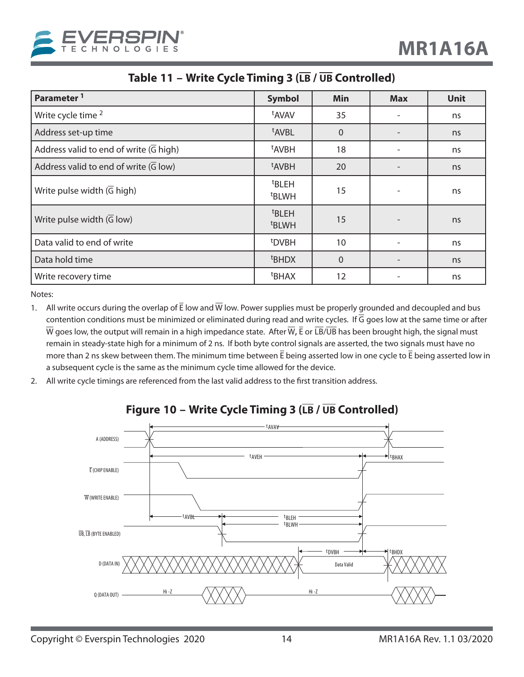

| Table 11 - Write Cycle Timing 3 (LB / UB Controlled) |  |  |
|------------------------------------------------------|--|--|
|------------------------------------------------------|--|--|

| Parameter <sup>1</sup>                              | <b>Symbol</b>                          | <b>Min</b> | <b>Max</b> | <b>Unit</b> |
|-----------------------------------------------------|----------------------------------------|------------|------------|-------------|
| Write cycle time 2                                  | t <sub>AVAV</sub>                      | 35         |            | ns          |
| Address set-up time                                 | t <sub>AVBL</sub>                      | $\Omega$   |            | ns          |
| Address valid to end of write $(\overline{G}$ high) | <sup>t</sup> AVBH                      | 18         |            | ns          |
| Address valid to end of write $(\overline{G}$ low)  | <sup>t</sup> AVBH                      | 20         |            | ns          |
| Write pulse width $(\overline{G}$ high)             | <sup>t</sup> BLEH<br><sup>t</sup> BLWH | 15         |            | ns          |
| Write pulse width $(\overline{G}$ low)              | <sup>t</sup> BLEH<br><sup>t</sup> BLWH | 15         |            | ns          |
| Data valid to end of write                          | <sup>t</sup> DVBH                      | 10         |            | ns          |
| Data hold time                                      | <sup>t</sup> BHDX                      | $\Omega$   |            | ns          |
| Write recovery time                                 | <sup>t</sup> BHAX                      | 12         |            | ns          |

Notes:

- 1. All write occurs during the overlap of  $\bar{E}$  low and  $\bar{W}$  low. Power supplies must be properly grounded and decoupled and bus contention conditions must be minimized or eliminated during read and write cycles. If  $\overline{G}$  goes low at the same time or after  $\overline{W}$  goes low, the output will remain in a high impedance state. After  $\overline{W}$ ,  $\overline{E}$  or  $\overline{LB}/\overline{UB}$  has been brought high, the signal must remain in steady-state high for a minimum of 2 ns. If both byte control signals are asserted, the two signals must have no more than 2 ns skew between them. The minimum time between E being asserted low in one cycle to E being asserted low in a subsequent cycle is the same as the minimum cycle time allowed for the device.
- 2. All write cycle timings are referenced from the last valid address to the first transition address.



## **Figure 10 – Write Cycle Timing 3 (LB / UB Controlled)**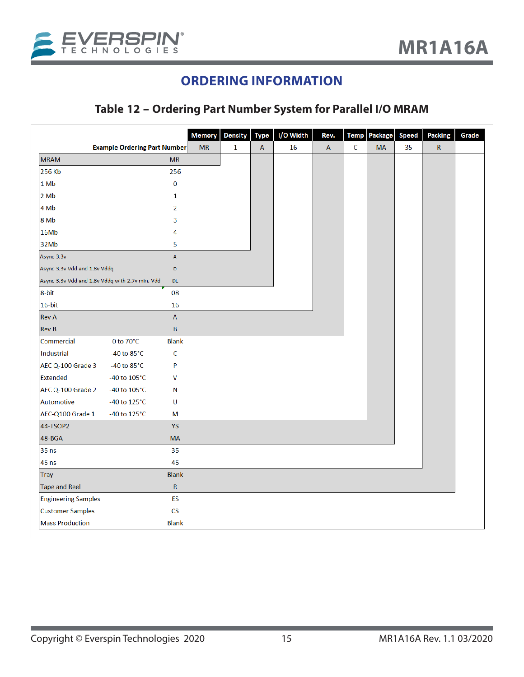

## **ORDERING INFORMATION**

## **Table 12 – Ordering Part Number System for Parallel I/O MRAM**

|                                                 |                          | <b>Memory</b> | <b>Density</b> | <b>Type</b>  | I/O Width | Rev.         | <b>Temp</b> | Package   | Speed | Packing      | Grade |
|-------------------------------------------------|--------------------------|---------------|----------------|--------------|-----------|--------------|-------------|-----------|-------|--------------|-------|
| <b>Example Ordering Part Number</b>             |                          | <b>MR</b>     | $\mathbf{1}$   | $\mathsf{A}$ | 16        | $\mathsf{A}$ | $\mathsf C$ | <b>MA</b> | 35    | $\mathsf{R}$ |       |
| <b>MRAM</b>                                     | <b>MR</b>                |               |                |              |           |              |             |           |       |              |       |
| 256 Kb                                          | 256                      |               |                |              |           |              |             |           |       |              |       |
| 1 Mb                                            | $\bf{0}$                 |               |                |              |           |              |             |           |       |              |       |
| 2Mb                                             | 1                        |               |                |              |           |              |             |           |       |              |       |
| 4 Mb                                            | $\overline{2}$           |               |                |              |           |              |             |           |       |              |       |
| 8 Mb                                            | 3                        |               |                |              |           |              |             |           |       |              |       |
| 16Mb                                            | 4                        |               |                |              |           |              |             |           |       |              |       |
| 32Mb                                            | 5                        |               |                |              |           |              |             |           |       |              |       |
| Async 3.3v                                      | $\mathbb A$              |               |                |              |           |              |             |           |       |              |       |
| Async 3.3v Vdd and 1.8v Vddq                    | D                        |               |                |              |           |              |             |           |       |              |       |
| Async 3.3v Vdd and 1.8v Vddq with 2.7v min. Vdd | <b>DL</b>                |               |                |              |           |              |             |           |       |              |       |
| 8-bit                                           | 08                       |               |                |              |           |              |             |           |       |              |       |
| $16$ -bit                                       | 16                       |               |                |              |           |              |             |           |       |              |       |
| <b>Rev A</b>                                    | A                        |               |                |              |           |              |             |           |       |              |       |
| <b>Rev B</b>                                    | $\sf{B}$                 |               |                |              |           |              |             |           |       |              |       |
| Commercial<br>0 to 70°C                         | <b>Blank</b>             |               |                |              |           |              |             |           |       |              |       |
| Industrial<br>-40 to $85^{\circ}$ C             | C                        |               |                |              |           |              |             |           |       |              |       |
| AEC Q-100 Grade 3<br>-40 to $85^{\circ}$ C      | P                        |               |                |              |           |              |             |           |       |              |       |
| <b>Extended</b><br>-40 to 105°C                 | ٧                        |               |                |              |           |              |             |           |       |              |       |
| AEC Q-100 Grade 2<br>-40 to 105°C               | N                        |               |                |              |           |              |             |           |       |              |       |
| Automotive<br>-40 to $125^{\circ}$ C            | U                        |               |                |              |           |              |             |           |       |              |       |
| AEC-Q100 Grade 1<br>-40 to 125°C                | М                        |               |                |              |           |              |             |           |       |              |       |
| 44-TSOP2                                        | YS                       |               |                |              |           |              |             |           |       |              |       |
| 48-BGA                                          | <b>MA</b>                |               |                |              |           |              |             |           |       |              |       |
| 35 ns                                           | 35                       |               |                |              |           |              |             |           |       |              |       |
| 45 ns                                           | 45                       |               |                |              |           |              |             |           |       |              |       |
| <b>Tray</b>                                     | <b>Blank</b>             |               |                |              |           |              |             |           |       |              |       |
| <b>Tape and Reel</b>                            | ${\sf R}$                |               |                |              |           |              |             |           |       |              |       |
| <b>Engineering Samples</b>                      | ES                       |               |                |              |           |              |             |           |       |              |       |
| <b>Customer Samples</b>                         | $\mathsf{CS}\phantom{0}$ |               |                |              |           |              |             |           |       |              |       |
| <b>Mass Production</b>                          | <b>Blank</b>             |               |                |              |           |              |             |           |       |              |       |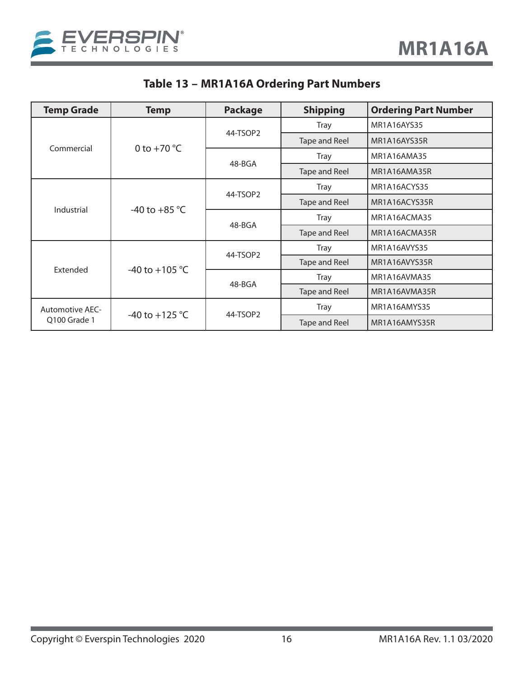

## **Table 13 – MR1A16A Ordering Part Numbers**

| <b>Temp Grade</b>      | <b>Temp</b>                           | <b>Package</b> | <b>Shipping</b> | <b>Ordering Part Number</b> |
|------------------------|---------------------------------------|----------------|-----------------|-----------------------------|
|                        |                                       |                | <b>Tray</b>     | MR1A16AYS35                 |
|                        |                                       | 44-TSOP2       | Tape and Reel   | MR1A16AYS35R                |
| Commercial             | 0 to $+70$ °C                         |                | <b>Tray</b>     | MR1A16AMA35                 |
|                        |                                       | 48-BGA         | Tape and Reel   | MR1A16AMA35R                |
|                        |                                       |                | <b>Tray</b>     | MR1A16ACYS35                |
|                        | 44-TSOP2                              | Tape and Reel  | MR1A16ACYS35R   |                             |
|                        | Industrial<br>-40 to +85 $^{\circ}$ C | 48-BGA         | <b>Tray</b>     | MR1A16ACMA35                |
|                        |                                       |                | Tape and Reel   | MR1A16ACMA35R               |
|                        |                                       | 44-TSOP2       | <b>Tray</b>     | MR1A16AVYS35                |
| Extended               | -40 to +105 $^{\circ}$ C              |                | Tape and Reel   | MR1A16AVYS35R               |
|                        |                                       | 48-BGA         | <b>Tray</b>     | MR1A16AVMA35                |
|                        |                                       |                | Tape and Reel   | MR1A16AVMA35R               |
| <b>Automotive AEC-</b> | -40 to +125 °C<br>Q100 Grade 1        |                | <b>Tray</b>     | MR1A16AMYS35                |
|                        |                                       |                | 44-TSOP2        |                             |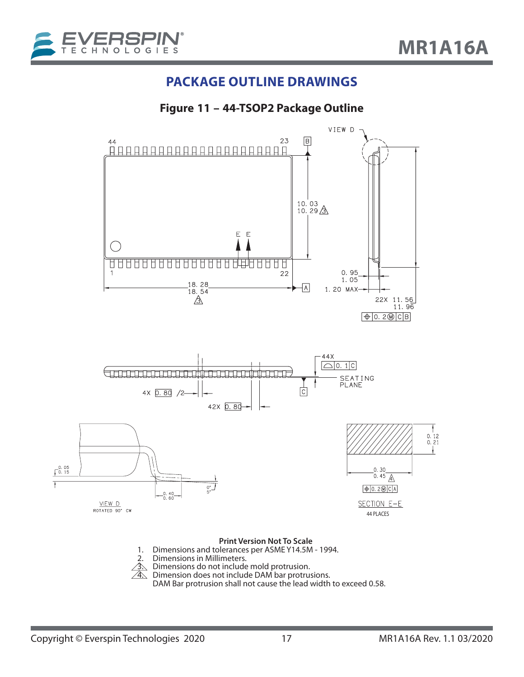

## **PACKAGE OUTLINE DRAWINGS**

**Figure 11 – 44-TSOP2 Package Outline**

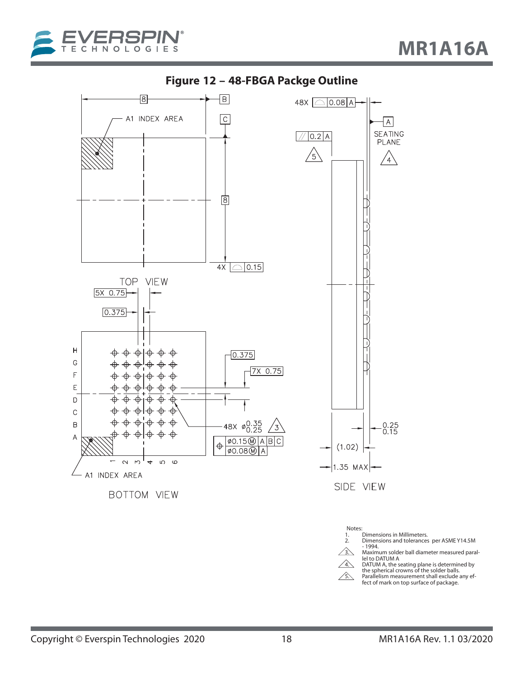



**Figure 12 – 48-FBGA Packge Outline**

Notes:<br>1. 1. Dimensions in Millimeters.<br>2. Dimensions and tolerances

2. Dimensions and tolerances per ASME Y14.5M<br>  $\sim$  -1994.

**3. Maximum solder ball diameter measured paral-**<br> **A** lel to DATUM A<br> **DATUM A, the seating plane is determined by<br>**  $\overline{A}$  **the spherical crowns of the solder balls.** 

5. Parallelism measurement shall exclude any effract of mark on top surface of package.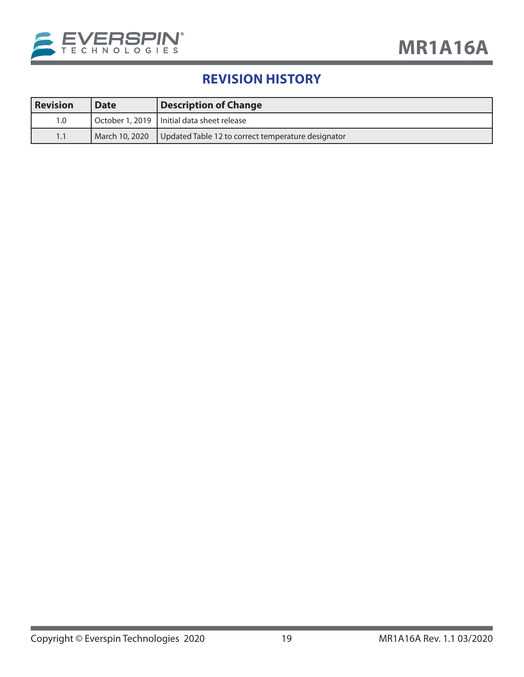

## **REVISION HISTORY**

| <b>Revision</b> | <b>Date</b>      | <b>Description of Change</b>                       |
|-----------------|------------------|----------------------------------------------------|
| 1.0             |                  | October 1, 2019   Initial data sheet release       |
| 1.1             | l March 10, 2020 | Updated Table 12 to correct temperature designator |